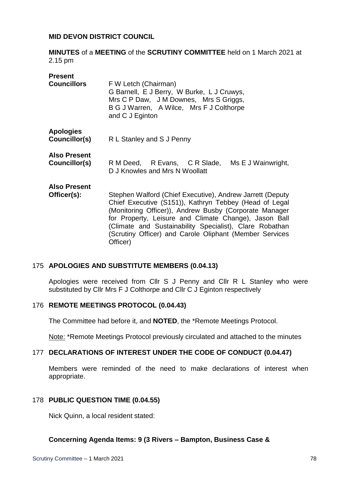## **MID DEVON DISTRICT COUNCIL**

**MINUTES** of a **MEETING** of the **SCRUTINY COMMITTEE** held on 1 March 2021 at 2.15 pm

| <b>Present</b><br><b>Councillors</b> | F W Letch (Chairman)<br>G Barnell, E J Berry, W Burke, L J Cruwys,<br>Mrs C P Daw, J M Downes, Mrs S Griggs,<br>B G J Warren, A Wilce, Mrs F J Colthorpe<br>and C J Eginton                                                                                                                                                                                              |
|--------------------------------------|--------------------------------------------------------------------------------------------------------------------------------------------------------------------------------------------------------------------------------------------------------------------------------------------------------------------------------------------------------------------------|
| <b>Apologies</b><br>Councillor(s)    | R L Stanley and S J Penny                                                                                                                                                                                                                                                                                                                                                |
| <b>Also Present</b><br>Councillor(s) | R M Deed, R Evans, C R Slade, Ms E J Wainwright,<br>D J Knowles and Mrs N Woollatt                                                                                                                                                                                                                                                                                       |
| <b>Also Present</b><br>Officer(s):   | Stephen Walford (Chief Executive), Andrew Jarrett (Deputy<br>Chief Executive (S151)), Kathryn Tebbey (Head of Legal<br>(Monitoring Officer)), Andrew Busby (Corporate Manager<br>for Property, Leisure and Climate Change), Jason Ball<br>(Climate and Sustainability Specialist), Clare Robathan<br>(Scrutiny Officer) and Carole Oliphant (Member Services<br>Officer) |

#### 175 **APOLOGIES AND SUBSTITUTE MEMBERS (0.04.13)**

Apologies were received from Cllr S J Penny and Cllr R L Stanley who were substituted by Cllr Mrs F J Colthorpe and Cllr C J Eginton respectively

#### 176 **REMOTE MEETINGS PROTOCOL (0.04.43)**

The Committee had before it, and **NOTED**, the \*Remote Meetings Protocol.

Note: \*Remote Meetings Protocol previously circulated and attached to the minutes

#### 177 **DECLARATIONS OF INTEREST UNDER THE CODE OF CONDUCT (0.04.47)**

Members were reminded of the need to make declarations of interest when appropriate.

#### 178 **PUBLIC QUESTION TIME (0.04.55)**

Nick Quinn, a local resident stated:

### **Concerning Agenda Items: 9 (3 Rivers – Bampton, Business Case &**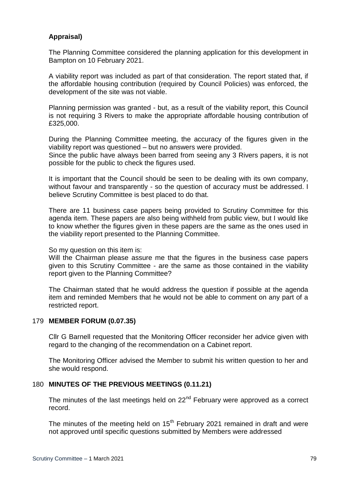# **Appraisal)**

The Planning Committee considered the planning application for this development in Bampton on 10 February 2021.

A viability report was included as part of that consideration. The report stated that, if the affordable housing contribution (required by Council Policies) was enforced, the development of the site was not viable.

Planning permission was granted - but, as a result of the viability report, this Council is not requiring 3 Rivers to make the appropriate affordable housing contribution of £325,000.

During the Planning Committee meeting, the accuracy of the figures given in the viability report was questioned – but no answers were provided.

Since the public have always been barred from seeing any 3 Rivers papers, it is not possible for the public to check the figures used.

It is important that the Council should be seen to be dealing with its own company, without favour and transparently - so the question of accuracy must be addressed. I believe Scrutiny Committee is best placed to do that.

There are 11 business case papers being provided to Scrutiny Committee for this agenda item. These papers are also being withheld from public view, but I would like to know whether the figures given in these papers are the same as the ones used in the viability report presented to the Planning Committee.

So my question on this item is:

Will the Chairman please assure me that the figures in the business case papers given to this Scrutiny Committee - are the same as those contained in the viability report given to the Planning Committee?

The Chairman stated that he would address the question if possible at the agenda item and reminded Members that he would not be able to comment on any part of a restricted report.

## 179 **MEMBER FORUM (0.07.35)**

Cllr G Barnell requested that the Monitoring Officer reconsider her advice given with regard to the changing of the recommendation on a Cabinet report.

The Monitoring Officer advised the Member to submit his written question to her and she would respond.

## 180 **MINUTES OF THE PREVIOUS MEETINGS (0.11.21)**

The minutes of the last meetings held on 22<sup>nd</sup> February were approved as a correct record.

The minutes of the meeting held on  $15<sup>th</sup>$  February 2021 remained in draft and were not approved until specific questions submitted by Members were addressed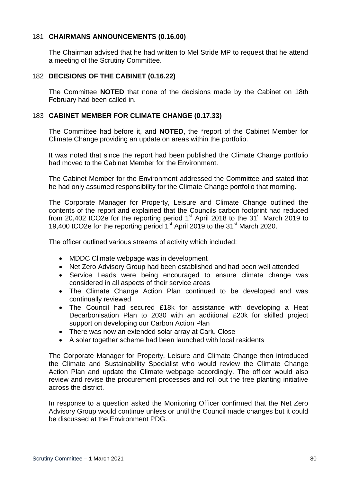## 181 **CHAIRMANS ANNOUNCEMENTS (0.16.00)**

The Chairman advised that he had written to Mel Stride MP to request that he attend a meeting of the Scrutiny Committee.

### 182 **DECISIONS OF THE CABINET (0.16.22)**

The Committee **NOTED** that none of the decisions made by the Cabinet on 18th February had been called in.

### 183 **CABINET MEMBER FOR CLIMATE CHANGE (0.17.33)**

The Committee had before it, and **NOTED**, the \*report of the Cabinet Member for Climate Change providing an update on areas within the portfolio.

It was noted that since the report had been published the Climate Change portfolio had moved to the Cabinet Member for the Environment.

The Cabinet Member for the Environment addressed the Committee and stated that he had only assumed responsibility for the Climate Change portfolio that morning.

The Corporate Manager for Property, Leisure and Climate Change outlined the contents of the report and explained that the Councils carbon footprint had reduced from 20,402 tCO2e for the reporting period  $1<sup>st</sup>$  April 2018 to the  $31<sup>st</sup>$  March 2019 to 19,400 tCO2e for the reporting period 1<sup>st</sup> April 2019 to the 31<sup>st</sup> March 2020.

The officer outlined various streams of activity which included:

- MDDC Climate webpage was in development
- Net Zero Advisory Group had been established and had been well attended
- Service Leads were being encouraged to ensure climate change was considered in all aspects of their service areas
- The Climate Change Action Plan continued to be developed and was continually reviewed
- The Council had secured £18k for assistance with developing a Heat Decarbonisation Plan to 2030 with an additional £20k for skilled project support on developing our Carbon Action Plan
- There was now an extended solar array at Carlu Close
- A solar together scheme had been launched with local residents

The Corporate Manager for Property, Leisure and Climate Change then introduced the Climate and Sustainability Specialist who would review the Climate Change Action Plan and update the Climate webpage accordingly. The officer would also review and revise the procurement processes and roll out the tree planting initiative across the district.

In response to a question asked the Monitoring Officer confirmed that the Net Zero Advisory Group would continue unless or until the Council made changes but it could be discussed at the Environment PDG.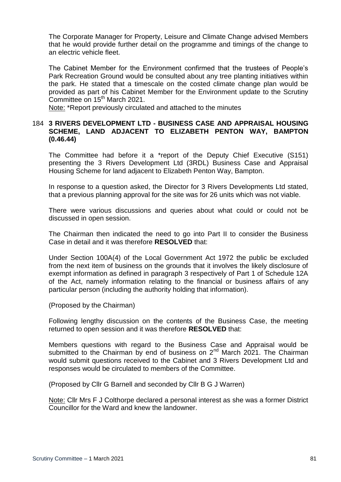The Corporate Manager for Property, Leisure and Climate Change advised Members that he would provide further detail on the programme and timings of the change to an electric vehicle fleet.

The Cabinet Member for the Environment confirmed that the trustees of People's Park Recreation Ground would be consulted about any tree planting initiatives within the park. He stated that a timescale on the costed climate change plan would be provided as part of his Cabinet Member for the Environment update to the Scrutiny Committee on 15<sup>th</sup> March 2021.

Note: \*Report previously circulated and attached to the minutes

## 184 **3 RIVERS DEVELOPMENT LTD - BUSINESS CASE AND APPRAISAL HOUSING SCHEME, LAND ADJACENT TO ELIZABETH PENTON WAY, BAMPTON (0.46.44)**

The Committee had before it a \*report of the Deputy Chief Executive (S151) presenting the 3 Rivers Development Ltd (3RDL) Business Case and Appraisal Housing Scheme for land adjacent to Elizabeth Penton Way, Bampton.

In response to a question asked, the Director for 3 Rivers Developments Ltd stated, that a previous planning approval for the site was for 26 units which was not viable.

There were various discussions and queries about what could or could not be discussed in open session.

The Chairman then indicated the need to go into Part II to consider the Business Case in detail and it was therefore **RESOLVED** that:

Under Section 100A(4) of the Local Government Act 1972 the public be excluded from the next item of business on the grounds that it involves the likely disclosure of exempt information as defined in paragraph 3 respectively of Part 1 of Schedule 12A of the Act, namely information relating to the financial or business affairs of any particular person (including the authority holding that information).

(Proposed by the Chairman)

Following lengthy discussion on the contents of the Business Case, the meeting returned to open session and it was therefore **RESOLVED** that:

Members questions with regard to the Business Case and Appraisal would be submitted to the Chairman by end of business on  $2^{nd}$  March 2021. The Chairman would submit questions received to the Cabinet and 3 Rivers Development Ltd and responses would be circulated to members of the Committee.

(Proposed by Cllr G Barnell and seconded by Cllr B G J Warren)

Note: Cllr Mrs F J Colthorpe declared a personal interest as she was a former District Councillor for the Ward and knew the landowner.